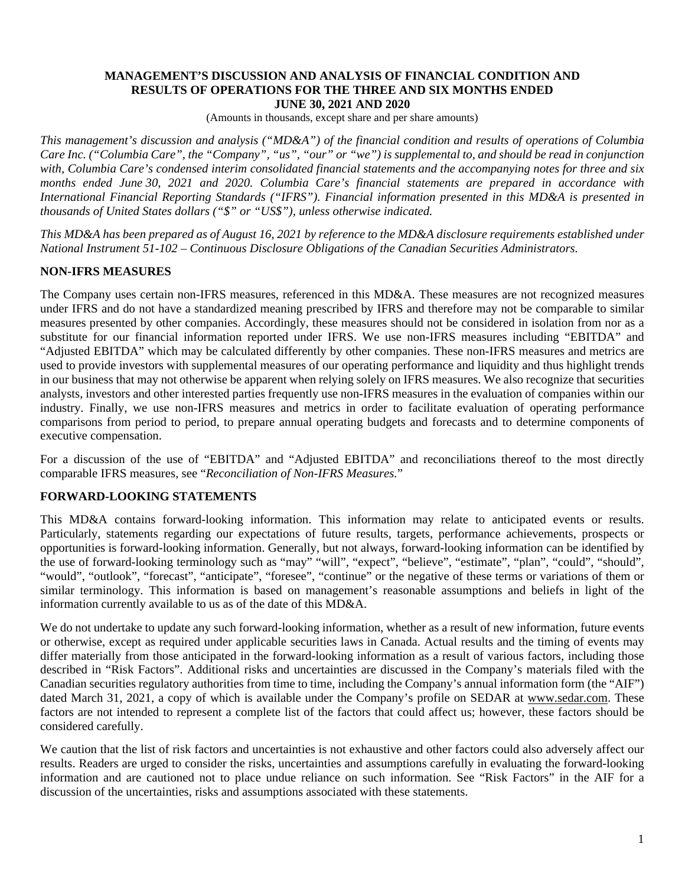#### **MANAGEMENT'S DISCUSSION AND ANALYSIS OF FINANCIAL CONDITION AND RESULTS OF OPERATIONS FOR THE THREE AND SIX MONTHS ENDED JUNE 30, 2021 AND 2020**

(Amounts in thousands, except share and per share amounts)

*This management's discussion and analysis ("MD&A") of the financial condition and results of operations of Columbia Care Inc. ("Columbia Care", the "Company", "us", "our" or "we") is supplemental to, and should be read in conjunction with, Columbia Care's condensed interim consolidated financial statements and the accompanying notes for three and six months ended June 30, 2021 and 2020. Columbia Care's financial statements are prepared in accordance with International Financial Reporting Standards ("IFRS"). Financial information presented in this MD&A is presented in thousands of United States dollars ("\$" or "US\$"), unless otherwise indicated.*

*This MD&A has been prepared as of August 16, 2021 by reference to the MD&A disclosure requirements established under National Instrument 51-102 – Continuous Disclosure Obligations of the Canadian Securities Administrators.*

# **NON-IFRS MEASURES**

The Company uses certain non-IFRS measures, referenced in this MD&A. These measures are not recognized measures under IFRS and do not have a standardized meaning prescribed by IFRS and therefore may not be comparable to similar measures presented by other companies. Accordingly, these measures should not be considered in isolation from nor as a substitute for our financial information reported under IFRS. We use non-IFRS measures including "EBITDA" and "Adjusted EBITDA" which may be calculated differently by other companies. These non-IFRS measures and metrics are used to provide investors with supplemental measures of our operating performance and liquidity and thus highlight trends in our business that may not otherwise be apparent when relying solely on IFRS measures. We also recognize that securities analysts, investors and other interested parties frequently use non-IFRS measures in the evaluation of companies within our industry. Finally, we use non-IFRS measures and metrics in order to facilitate evaluation of operating performance comparisons from period to period, to prepare annual operating budgets and forecasts and to determine components of executive compensation.

For a discussion of the use of "EBITDA" and "Adjusted EBITDA" and reconciliations thereof to the most directly comparable IFRS measures, see "*Reconciliation of Non-IFRS Measures.*"

# **FORWARD-LOOKING STATEMENTS**

This MD&A contains forward-looking information. This information may relate to anticipated events or results. Particularly, statements regarding our expectations of future results, targets, performance achievements, prospects or opportunities is forward-looking information. Generally, but not always, forward-looking information can be identified by the use of forward-looking terminology such as "may" "will", "expect", "believe", "estimate", "plan", "could", "should", "would", "outlook", "forecast", "anticipate", "foresee", "continue" or the negative of these terms or variations of them or similar terminology. This information is based on management's reasonable assumptions and beliefs in light of the information currently available to us as of the date of this MD&A.

We do not undertake to update any such forward-looking information, whether as a result of new information, future events or otherwise, except as required under applicable securities laws in Canada. Actual results and the timing of events may differ materially from those anticipated in the forward-looking information as a result of various factors, including those described in "Risk Factors". Additional risks and uncertainties are discussed in the Company's materials filed with the Canadian securities regulatory authorities from time to time, including the Company's annual information form (the "AIF") dated March 31, 2021, a copy of which is available under the Company's profile on SEDAR at www.sedar.com. These factors are not intended to represent a complete list of the factors that could affect us; however, these factors should be considered carefully.

We caution that the list of risk factors and uncertainties is not exhaustive and other factors could also adversely affect our results. Readers are urged to consider the risks, uncertainties and assumptions carefully in evaluating the forward-looking information and are cautioned not to place undue reliance on such information. See "Risk Factors" in the AIF for a discussion of the uncertainties, risks and assumptions associated with these statements.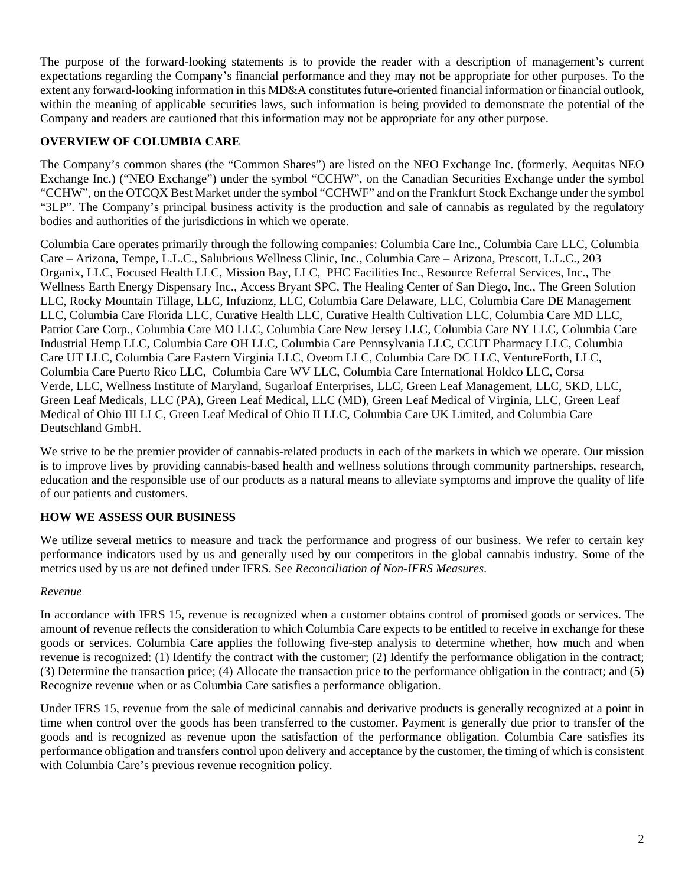The purpose of the forward-looking statements is to provide the reader with a description of management's current expectations regarding the Company's financial performance and they may not be appropriate for other purposes. To the extent any forward-looking information in this MD&A constitutes future-oriented financial information or financial outlook, within the meaning of applicable securities laws, such information is being provided to demonstrate the potential of the Company and readers are cautioned that this information may not be appropriate for any other purpose.

# **OVERVIEW OF COLUMBIA CARE**

The Company's common shares (the "Common Shares") are listed on the NEO Exchange Inc. (formerly, Aequitas NEO Exchange Inc.) ("NEO Exchange") under the symbol "CCHW", on the Canadian Securities Exchange under the symbol "CCHW", on the OTCQX Best Market under the symbol "CCHWF" and on the Frankfurt Stock Exchange under the symbol "3LP". The Company's principal business activity is the production and sale of cannabis as regulated by the regulatory bodies and authorities of the jurisdictions in which we operate.

Columbia Care operates primarily through the following companies: Columbia Care Inc., Columbia Care LLC, Columbia Care – Arizona, Tempe, L.L.C., Salubrious Wellness Clinic, Inc., Columbia Care – Arizona, Prescott, L.L.C., 203 Organix, LLC, Focused Health LLC, Mission Bay, LLC, PHC Facilities Inc., Resource Referral Services, Inc., The Wellness Earth Energy Dispensary Inc., Access Bryant SPC, The Healing Center of San Diego, Inc., The Green Solution LLC, Rocky Mountain Tillage, LLC, Infuzionz, LLC, Columbia Care Delaware, LLC, Columbia Care DE Management LLC, Columbia Care Florida LLC, Curative Health LLC, Curative Health Cultivation LLC, Columbia Care MD LLC, Patriot Care Corp., Columbia Care MO LLC, Columbia Care New Jersey LLC, Columbia Care NY LLC, Columbia Care Industrial Hemp LLC, Columbia Care OH LLC, Columbia Care Pennsylvania LLC, CCUT Pharmacy LLC, Columbia Care UT LLC, Columbia Care Eastern Virginia LLC, Oveom LLC, Columbia Care DC LLC, VentureForth, LLC, Columbia Care Puerto Rico LLC, Columbia Care WV LLC, Columbia Care International Holdco LLC, Corsa Verde, LLC, Wellness Institute of Maryland, Sugarloaf Enterprises, LLC, Green Leaf Management, LLC, SKD, LLC, Green Leaf Medicals, LLC (PA), Green Leaf Medical, LLC (MD), Green Leaf Medical of Virginia, LLC, Green Leaf Medical of Ohio III LLC, Green Leaf Medical of Ohio II LLC, Columbia Care UK Limited, and Columbia Care Deutschland GmbH.

We strive to be the premier provider of cannabis-related products in each of the markets in which we operate. Our mission is to improve lives by providing cannabis-based health and wellness solutions through community partnerships, research, education and the responsible use of our products as a natural means to alleviate symptoms and improve the quality of life of our patients and customers.

# **HOW WE ASSESS OUR BUSINESS**

We utilize several metrics to measure and track the performance and progress of our business. We refer to certain key performance indicators used by us and generally used by our competitors in the global cannabis industry. Some of the metrics used by us are not defined under IFRS. See *Reconciliation of Non-IFRS Measures*.

## *Revenue*

In accordance with IFRS 15, revenue is recognized when a customer obtains control of promised goods or services. The amount of revenue reflects the consideration to which Columbia Care expects to be entitled to receive in exchange for these goods or services. Columbia Care applies the following five-step analysis to determine whether, how much and when revenue is recognized: (1) Identify the contract with the customer; (2) Identify the performance obligation in the contract; (3) Determine the transaction price; (4) Allocate the transaction price to the performance obligation in the contract; and (5) Recognize revenue when or as Columbia Care satisfies a performance obligation.

Under IFRS 15, revenue from the sale of medicinal cannabis and derivative products is generally recognized at a point in time when control over the goods has been transferred to the customer. Payment is generally due prior to transfer of the goods and is recognized as revenue upon the satisfaction of the performance obligation. Columbia Care satisfies its performance obligation and transfers control upon delivery and acceptance by the customer, the timing of which is consistent with Columbia Care's previous revenue recognition policy.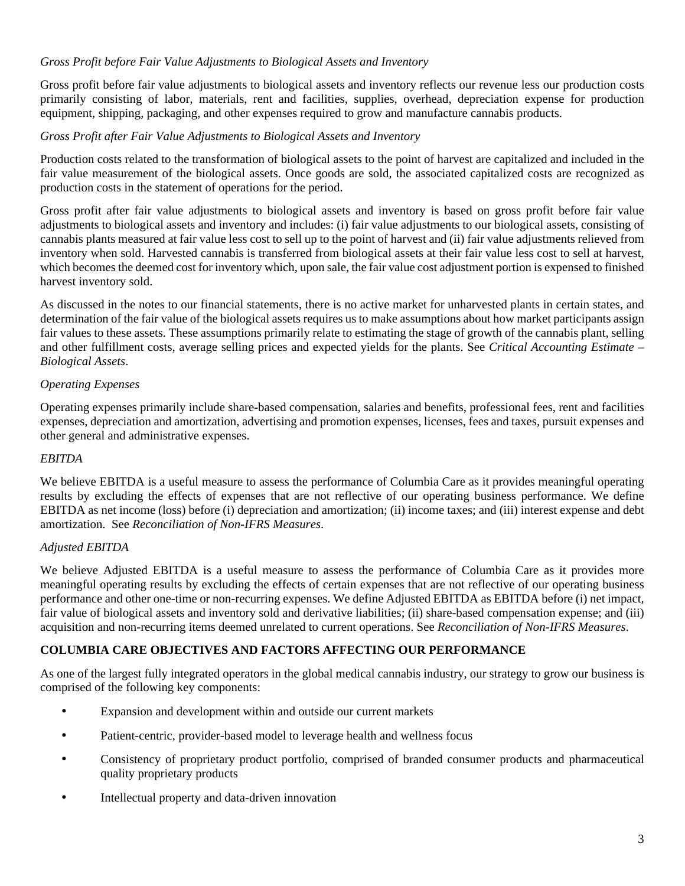# *Gross Profit before Fair Value Adjustments to Biological Assets and Inventory*

Gross profit before fair value adjustments to biological assets and inventory reflects our revenue less our production costs primarily consisting of labor, materials, rent and facilities, supplies, overhead, depreciation expense for production equipment, shipping, packaging, and other expenses required to grow and manufacture cannabis products.

## *Gross Profit after Fair Value Adjustments to Biological Assets and Inventory*

Production costs related to the transformation of biological assets to the point of harvest are capitalized and included in the fair value measurement of the biological assets. Once goods are sold, the associated capitalized costs are recognized as production costs in the statement of operations for the period.

Gross profit after fair value adjustments to biological assets and inventory is based on gross profit before fair value adjustments to biological assets and inventory and includes: (i) fair value adjustments to our biological assets, consisting of cannabis plants measured at fair value less cost to sell up to the point of harvest and (ii) fair value adjustments relieved from inventory when sold. Harvested cannabis is transferred from biological assets at their fair value less cost to sell at harvest, which becomes the deemed cost for inventory which, upon sale, the fair value cost adjustment portion is expensed to finished harvest inventory sold.

As discussed in the notes to our financial statements, there is no active market for unharvested plants in certain states, and determination of the fair value of the biological assets requires us to make assumptions about how market participants assign fair values to these assets. These assumptions primarily relate to estimating the stage of growth of the cannabis plant, selling and other fulfillment costs, average selling prices and expected yields for the plants. See *Critical Accounting Estimate – Biological Assets*.

## *Operating Expenses*

Operating expenses primarily include share-based compensation, salaries and benefits, professional fees, rent and facilities expenses, depreciation and amortization, advertising and promotion expenses, licenses, fees and taxes, pursuit expenses and other general and administrative expenses.

## *EBITDA*

We believe EBITDA is a useful measure to assess the performance of Columbia Care as it provides meaningful operating results by excluding the effects of expenses that are not reflective of our operating business performance. We define EBITDA as net income (loss) before (i) depreciation and amortization; (ii) income taxes; and (iii) interest expense and debt amortization. See *Reconciliation of Non-IFRS Measures*.

## *Adjusted EBITDA*

We believe Adjusted EBITDA is a useful measure to assess the performance of Columbia Care as it provides more meaningful operating results by excluding the effects of certain expenses that are not reflective of our operating business performance and other one-time or non-recurring expenses. We define Adjusted EBITDA as EBITDA before (i) net impact, fair value of biological assets and inventory sold and derivative liabilities; (ii) share-based compensation expense; and (iii) acquisition and non-recurring items deemed unrelated to current operations. See *Reconciliation of Non-IFRS Measures*.

## **COLUMBIA CARE OBJECTIVES AND FACTORS AFFECTING OUR PERFORMANCE**

As one of the largest fully integrated operators in the global medical cannabis industry, our strategy to grow our business is comprised of the following key components:

- Expansion and development within and outside our current markets
- Patient-centric, provider-based model to leverage health and wellness focus
- Consistency of proprietary product portfolio, comprised of branded consumer products and pharmaceutical quality proprietary products
- Intellectual property and data-driven innovation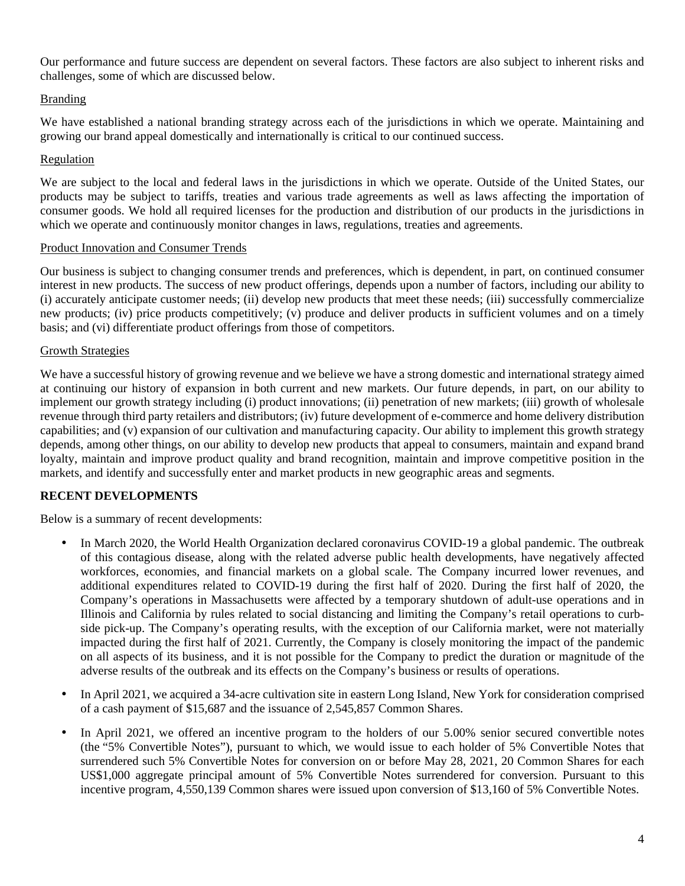Our performance and future success are dependent on several factors. These factors are also subject to inherent risks and challenges, some of which are discussed below.

# Branding

We have established a national branding strategy across each of the jurisdictions in which we operate. Maintaining and growing our brand appeal domestically and internationally is critical to our continued success.

## Regulation

We are subject to the local and federal laws in the jurisdictions in which we operate. Outside of the United States, our products may be subject to tariffs, treaties and various trade agreements as well as laws affecting the importation of consumer goods. We hold all required licenses for the production and distribution of our products in the jurisdictions in which we operate and continuously monitor changes in laws, regulations, treaties and agreements.

## Product Innovation and Consumer Trends

Our business is subject to changing consumer trends and preferences, which is dependent, in part, on continued consumer interest in new products. The success of new product offerings, depends upon a number of factors, including our ability to (i) accurately anticipate customer needs; (ii) develop new products that meet these needs; (iii) successfully commercialize new products; (iv) price products competitively; (v) produce and deliver products in sufficient volumes and on a timely basis; and (vi) differentiate product offerings from those of competitors.

## Growth Strategies

We have a successful history of growing revenue and we believe we have a strong domestic and international strategy aimed at continuing our history of expansion in both current and new markets. Our future depends, in part, on our ability to implement our growth strategy including (i) product innovations; (ii) penetration of new markets; (iii) growth of wholesale revenue through third party retailers and distributors; (iv) future development of e-commerce and home delivery distribution capabilities; and (v) expansion of our cultivation and manufacturing capacity. Our ability to implement this growth strategy depends, among other things, on our ability to develop new products that appeal to consumers, maintain and expand brand loyalty, maintain and improve product quality and brand recognition, maintain and improve competitive position in the markets, and identify and successfully enter and market products in new geographic areas and segments.

# **RECENT DEVELOPMENTS**

Below is a summary of recent developments:

- In March 2020, the World Health Organization declared coronavirus COVID-19 a global pandemic. The outbreak of this contagious disease, along with the related adverse public health developments, have negatively affected workforces, economies, and financial markets on a global scale. The Company incurred lower revenues, and additional expenditures related to COVID-19 during the first half of 2020. During the first half of 2020, the Company's operations in Massachusetts were affected by a temporary shutdown of adult-use operations and in Illinois and California by rules related to social distancing and limiting the Company's retail operations to curbside pick-up. The Company's operating results, with the exception of our California market, were not materially impacted during the first half of 2021. Currently, the Company is closely monitoring the impact of the pandemic on all aspects of its business, and it is not possible for the Company to predict the duration or magnitude of the adverse results of the outbreak and its effects on the Company's business or results of operations.
- In April 2021, we acquired a 34-acre cultivation site in eastern Long Island, New York for consideration comprised of a cash payment of \$15,687 and the issuance of 2,545,857 Common Shares.
- In April 2021, we offered an incentive program to the holders of our 5.00% senior secured convertible notes (the "5% Convertible Notes"), pursuant to which, we would issue to each holder of 5% Convertible Notes that surrendered such 5% Convertible Notes for conversion on or before May 28, 2021, 20 Common Shares for each US\$1,000 aggregate principal amount of 5% Convertible Notes surrendered for conversion. Pursuant to this incentive program, 4,550,139 Common shares were issued upon conversion of \$13,160 of 5% Convertible Notes.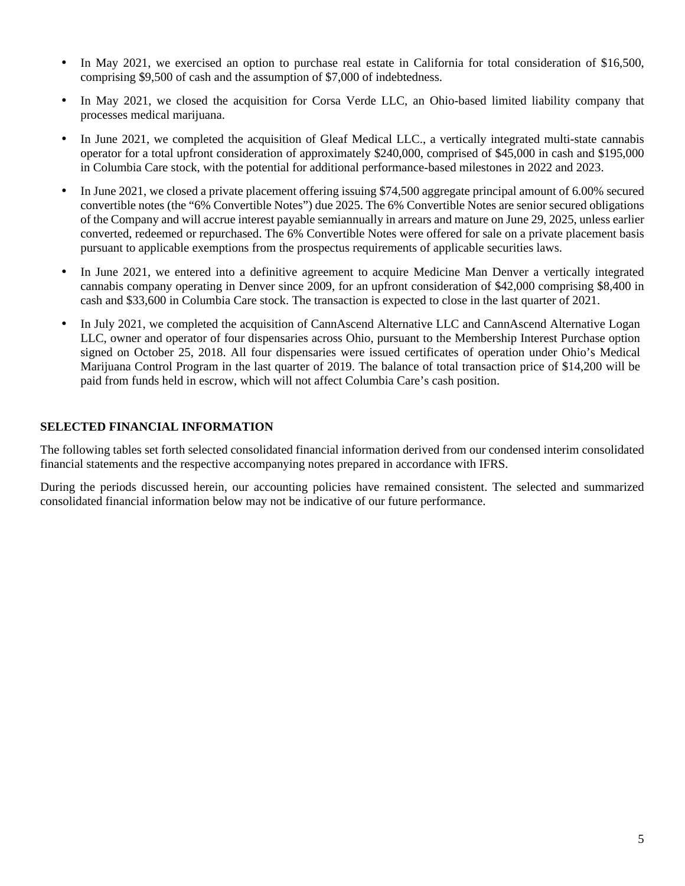- In May 2021, we exercised an option to purchase real estate in California for total consideration of \$16,500, comprising \$9,500 of cash and the assumption of \$7,000 of indebtedness.
- In May 2021, we closed the acquisition for Corsa Verde LLC, an Ohio-based limited liability company that processes medical marijuana.
- In June 2021, we completed the acquisition of Gleaf Medical LLC., a vertically integrated multi-state cannabis operator for a total upfront consideration of approximately \$240,000, comprised of \$45,000 in cash and \$195,000 in Columbia Care stock, with the potential for additional performance-based milestones in 2022 and 2023.
- In June 2021, we closed a private placement offering issuing \$74,500 aggregate principal amount of 6.00% secured convertible notes (the "6% Convertible Notes") due 2025. The 6% Convertible Notes are senior secured obligations of the Company and will accrue interest payable semiannually in arrears and mature on June 29, 2025, unless earlier converted, redeemed or repurchased. The 6% Convertible Notes were offered for sale on a private placement basis pursuant to applicable exemptions from the prospectus requirements of applicable securities laws.
- In June 2021, we entered into a definitive agreement to acquire Medicine Man Denver a vertically integrated cannabis company operating in Denver since 2009, for an upfront consideration of \$42,000 comprising \$8,400 in cash and \$33,600 in Columbia Care stock. The transaction is expected to close in the last quarter of 2021.
- In July 2021, we completed the acquisition of CannAscend Alternative LLC and CannAscend Alternative Logan LLC, owner and operator of four dispensaries across Ohio, pursuant to the Membership Interest Purchase option signed on October 25, 2018. All four dispensaries were issued certificates of operation under Ohio's Medical Marijuana Control Program in the last quarter of 2019. The balance of total transaction price of \$14,200 will be paid from funds held in escrow, which will not affect Columbia Care's cash position.

# **SELECTED FINANCIAL INFORMATION**

The following tables set forth selected consolidated financial information derived from our condensed interim consolidated financial statements and the respective accompanying notes prepared in accordance with IFRS.

During the periods discussed herein, our accounting policies have remained consistent. The selected and summarized consolidated financial information below may not be indicative of our future performance.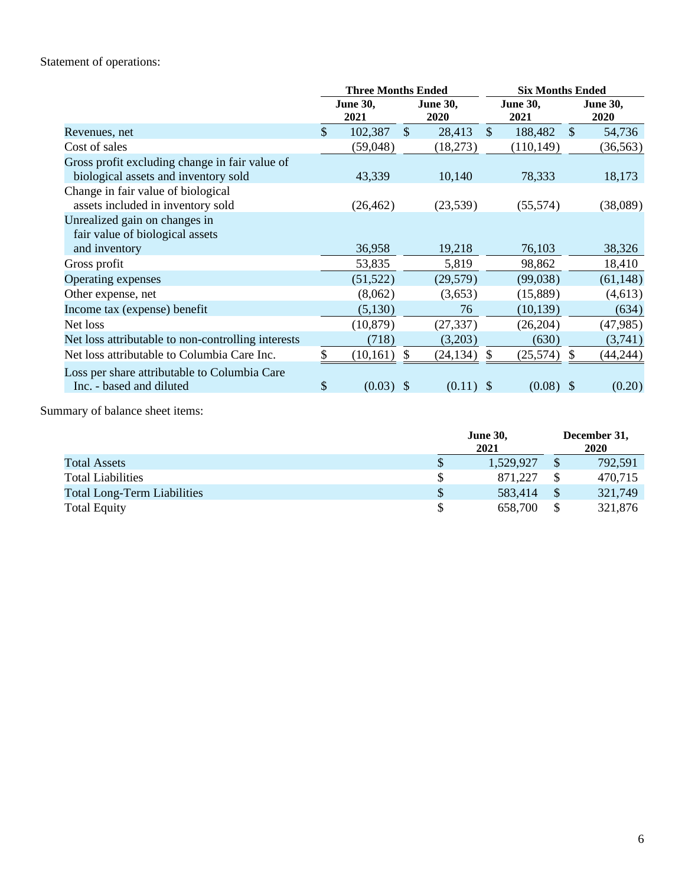# Statement of operations:

|                                                    |               | <b>Three Months Ended</b> |               |                         | <b>Six Months Ended</b> |                         |               |                         |  |  |
|----------------------------------------------------|---------------|---------------------------|---------------|-------------------------|-------------------------|-------------------------|---------------|-------------------------|--|--|
|                                                    |               | <b>June 30,</b><br>2021   |               | <b>June 30,</b><br>2020 |                         | <b>June 30,</b><br>2021 |               | <b>June 30,</b><br>2020 |  |  |
| Revenues, net                                      | $\mathbb{S}$  | 102,387                   | $\mathcal{S}$ | 28,413                  | $\mathbb{S}$            | 188,482                 | $\mathcal{S}$ | 54,736                  |  |  |
| Cost of sales                                      |               | (59,048)                  |               | (18,273)                |                         | (110, 149)              |               | (36, 563)               |  |  |
| Gross profit excluding change in fair value of     |               |                           |               |                         |                         |                         |               |                         |  |  |
| biological assets and inventory sold               |               | 43,339                    |               | 10,140                  |                         | 78,333                  |               | 18,173                  |  |  |
| Change in fair value of biological                 |               |                           |               |                         |                         |                         |               |                         |  |  |
| assets included in inventory sold                  |               | (26, 462)                 |               | (23,539)                |                         | (55, 574)               |               | (38,089)                |  |  |
| Unrealized gain on changes in                      |               |                           |               |                         |                         |                         |               |                         |  |  |
| fair value of biological assets                    |               |                           |               |                         |                         |                         |               |                         |  |  |
| and inventory                                      |               | 36,958                    |               | 19,218                  |                         | 76,103                  |               | 38,326                  |  |  |
| Gross profit                                       |               | 53,835                    |               | 5,819                   |                         | 98,862                  |               | 18,410                  |  |  |
| Operating expenses                                 |               | (51, 522)                 |               | (29, 579)               |                         | (99,038)                |               | (61, 148)               |  |  |
| Other expense, net                                 |               | (8,062)                   |               | (3,653)                 |                         | (15,889)                |               | (4,613)                 |  |  |
| Income tax (expense) benefit                       |               | (5,130)                   |               | 76                      |                         | (10, 139)               |               | (634)                   |  |  |
| Net loss                                           |               | (10, 879)                 |               | (27, 337)               |                         | (26,204)                |               | (47, 985)               |  |  |
| Net loss attributable to non-controlling interests |               | (718)                     |               | (3,203)                 |                         | (630)                   |               | (3,741)                 |  |  |
| Net loss attributable to Columbia Care Inc.        |               | (10, 161)                 | \$            | (24, 134)               | \$.                     | (25, 574)               | S.            | (44, 244)               |  |  |
| Loss per share attributable to Columbia Care       |               |                           |               |                         |                         |                         |               |                         |  |  |
| Inc. - based and diluted                           | $\mathcal{S}$ | $(0.03)$ \$               |               | $(0.11)$ \$             |                         | $(0.08)$ \$             |               | (0.20)                  |  |  |

Summary of balance sheet items:

|                                    | <b>June 30,</b><br>2021 | December 31,<br>2020 |  |  |
|------------------------------------|-------------------------|----------------------|--|--|
| Total Assets                       | 1,529,927               | 792,591              |  |  |
| <b>Total Liabilities</b>           | 871.227                 | 470,715              |  |  |
| <b>Total Long-Term Liabilities</b> | 583,414                 | 321,749              |  |  |
| <b>Total Equity</b>                | 658,700                 | 321,876              |  |  |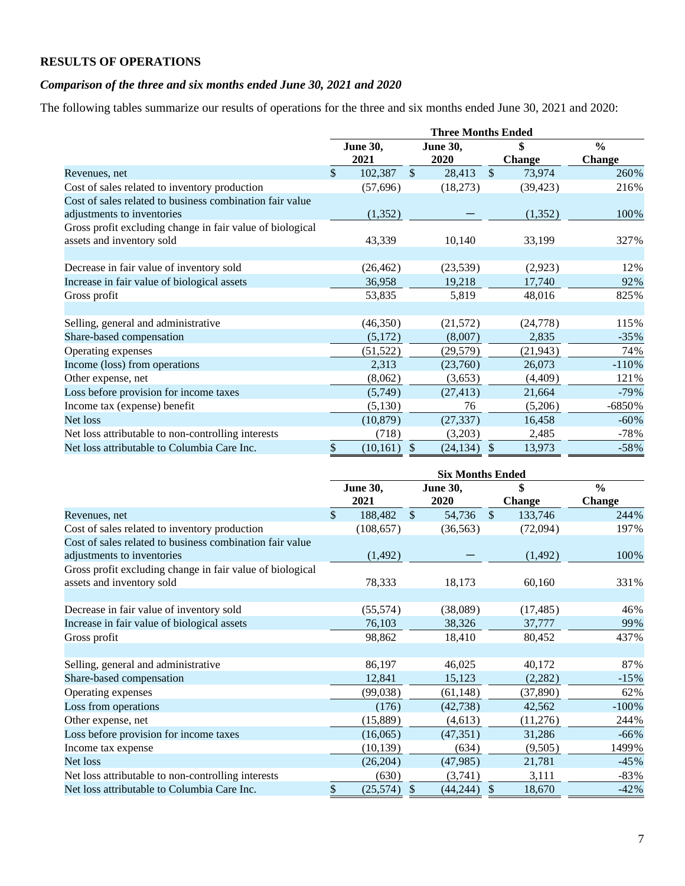# **RESULTS OF OPERATIONS**

# *Comparison of the three and six months ended June 30, 2021 and 2020*

The following tables summarize our results of operations for the three and six months ended June 30, 2021 and 2020:

|                                                           | <b>Three Months Ended</b> |           |               |                 |               |               |               |  |  |
|-----------------------------------------------------------|---------------------------|-----------|---------------|-----------------|---------------|---------------|---------------|--|--|
|                                                           | <b>June 30,</b>           |           |               | <b>June 30,</b> | \$            |               | $\frac{0}{0}$ |  |  |
|                                                           |                           | 2021      |               | <b>2020</b>     |               | <b>Change</b> | Change        |  |  |
| Revenues, net                                             | \$                        | 102,387   | $\mathcal{S}$ | 28,413          | $\mathcal{S}$ | 73,974        | 260%          |  |  |
| Cost of sales related to inventory production             |                           | (57, 696) |               | (18,273)        |               | (39, 423)     | 216%          |  |  |
| Cost of sales related to business combination fair value  |                           |           |               |                 |               |               |               |  |  |
| adjustments to inventories                                |                           | (1,352)   |               |                 |               | (1,352)       | 100%          |  |  |
| Gross profit excluding change in fair value of biological |                           |           |               |                 |               |               |               |  |  |
| assets and inventory sold                                 |                           | 43,339    |               | 10,140          |               | 33,199        | 327%          |  |  |
|                                                           |                           |           |               |                 |               |               |               |  |  |
| Decrease in fair value of inventory sold                  |                           | (26, 462) |               | (23,539)        |               | (2,923)       | 12%           |  |  |
| Increase in fair value of biological assets               |                           | 36,958    |               | 19,218          |               | 17,740        | 92%           |  |  |
| Gross profit                                              |                           | 53,835    |               | 5,819           |               | 48,016        | 825%          |  |  |
|                                                           |                           |           |               |                 |               |               |               |  |  |
| Selling, general and administrative                       |                           | (46,350)  |               | (21,572)        |               | (24, 778)     | 115%          |  |  |
| Share-based compensation                                  |                           | (5,172)   |               | (8,007)         |               | 2,835         | $-35%$        |  |  |
| Operating expenses                                        |                           | (51, 522) |               | (29, 579)       |               | (21, 943)     | 74%           |  |  |
| Income (loss) from operations                             |                           | 2,313     |               | (23,760)        |               | 26,073        | $-110%$       |  |  |
| Other expense, net                                        |                           | (8,062)   |               | (3,653)         |               | (4,409)       | 121%          |  |  |
| Loss before provision for income taxes                    |                           | (5,749)   |               | (27, 413)       |               | 21,664        | $-79%$        |  |  |
| Income tax (expense) benefit                              |                           | (5,130)   |               | 76              |               | (5,206)       | -6850%        |  |  |
| Net loss                                                  |                           | (10, 879) |               | (27, 337)       |               | 16,458        | $-60\%$       |  |  |
| Net loss attributable to non-controlling interests        |                           | (718)     |               | (3,203)         |               | 2,485         | $-78%$        |  |  |
| Net loss attributable to Columbia Care Inc.               | \$                        | (10, 161) | $\mathcal{S}$ | (24, 134)       | $\mathcal{S}$ | 13,973        | $-58%$        |  |  |

|                                                           | <b>Six Months Ended</b> |                         |              |                         |              |                     |                         |  |  |
|-----------------------------------------------------------|-------------------------|-------------------------|--------------|-------------------------|--------------|---------------------|-------------------------|--|--|
|                                                           |                         | <b>June 30,</b><br>2021 |              | <b>June 30,</b><br>2020 |              | \$<br><b>Change</b> | $\frac{0}{0}$<br>Change |  |  |
| Revenues, net                                             | \$                      | 188,482                 | $\mathbb{S}$ | 54,736                  | $\mathbb{S}$ | 133,746             | 244%                    |  |  |
| Cost of sales related to inventory production             |                         | (108, 657)              |              | (36, 563)               |              | (72,094)            | 197%                    |  |  |
| Cost of sales related to business combination fair value  |                         |                         |              |                         |              |                     |                         |  |  |
| adjustments to inventories                                |                         | (1, 492)                |              |                         |              | (1, 492)            | 100%                    |  |  |
| Gross profit excluding change in fair value of biological |                         |                         |              |                         |              |                     |                         |  |  |
| assets and inventory sold                                 |                         | 78,333                  |              | 18,173                  |              | 60,160              | 331%                    |  |  |
|                                                           |                         |                         |              |                         |              |                     |                         |  |  |
| Decrease in fair value of inventory sold                  |                         | (55, 574)               |              | (38,089)                |              | (17, 485)           | 46%                     |  |  |
| Increase in fair value of biological assets               |                         | 76,103                  |              | 38,326                  |              | 37,777              | 99%                     |  |  |
| Gross profit                                              |                         | 98,862                  |              | 18,410                  |              | 80,452              | 437%                    |  |  |
|                                                           |                         |                         |              |                         |              |                     |                         |  |  |
| Selling, general and administrative                       |                         | 86,197                  |              | 46,025                  |              | 40,172              | 87%                     |  |  |
| Share-based compensation                                  |                         | 12,841                  |              | 15,123                  |              | (2,282)             | $-15%$                  |  |  |
| Operating expenses                                        |                         | (99,038)                |              | (61, 148)               |              | (37, 890)           | 62%                     |  |  |
| Loss from operations                                      |                         | (176)                   |              | (42, 738)               |              | 42,562              | $-100\%$                |  |  |
| Other expense, net                                        |                         | (15,889)                |              | (4, 613)                |              | (11,276)            | 244%                    |  |  |
| Loss before provision for income taxes                    |                         | (16,065)                |              | (47, 351)               |              | 31,286              | $-66\%$                 |  |  |
| Income tax expense                                        |                         | (10, 139)               |              | (634)                   |              | (9,505)             | 1499%                   |  |  |
| Net loss                                                  |                         | (26, 204)               |              | (47, 985)               |              | 21,781              | $-45%$                  |  |  |
| Net loss attributable to non-controlling interests        |                         | (630)                   |              | (3,741)                 |              | 3,111               | $-83%$                  |  |  |
| Net loss attributable to Columbia Care Inc.               | \$                      | (25,574)                | \$           | (44, 244)               | \$           | 18,670              | $-42%$                  |  |  |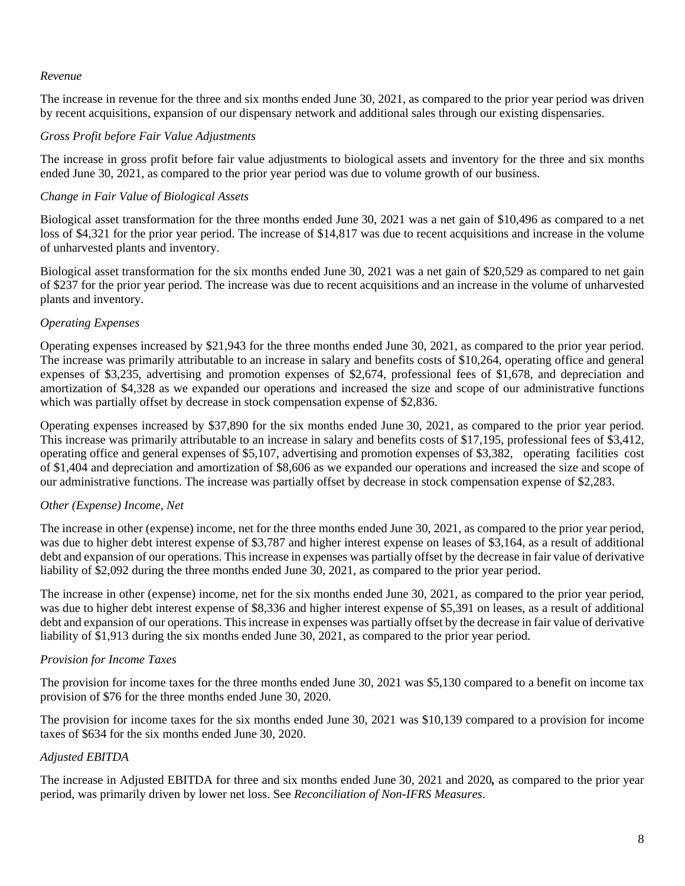## *Revenue*

The increase in revenue for the three and six months ended June 30, 2021, as compared to the prior year period was driven by recent acquisitions, expansion of our dispensary network and additional sales through our existing dispensaries.

## *Gross Profit before Fair Value Adjustments*

The increase in gross profit before fair value adjustments to biological assets and inventory for the three and six months ended June 30, 2021, as compared to the prior year period was due to volume growth of our business.

## *Change in Fair Value of Biological Assets*

Biological asset transformation for the three months ended June 30, 2021 was a net gain of \$10,496 as compared to a net loss of \$4,321 for the prior year period. The increase of \$14,817 was due to recent acquisitions and increase in the volume of unharvested plants and inventory.

Biological asset transformation for the six months ended June 30, 2021 was a net gain of \$20,529 as compared to net gain of \$237 for the prior year period. The increase was due to recent acquisitions and an increase in the volume of unharvested plants and inventory.

# *Operating Expenses*

Operating expenses increased by \$21,943 for the three months ended June 30, 2021, as compared to the prior year period. The increase was primarily attributable to an increase in salary and benefits costs of \$10,264, operating office and general expenses of \$3,235, advertising and promotion expenses of \$2,674, professional fees of \$1,678, and depreciation and amortization of \$4,328 as we expanded our operations and increased the size and scope of our administrative functions which was partially offset by decrease in stock compensation expense of \$2,836.

Operating expenses increased by \$37,890 for the six months ended June 30, 2021, as compared to the prior year period. This increase was primarily attributable to an increase in salary and benefits costs of \$17,195, professional fees of \$3,412, operating office and general expenses of \$5,107, advertising and promotion expenses of \$3,382, operating facilities cost of \$1,404 and depreciation and amortization of \$8,606 as we expanded our operations and increased the size and scope of our administrative functions. The increase was partially offset by decrease in stock compensation expense of \$2,283.

## *Other (Expense) Income, Net*

The increase in other (expense) income, net for the three months ended June 30, 2021, as compared to the prior year period, was due to higher debt interest expense of \$3,787 and higher interest expense on leases of \$3,164, as a result of additional debt and expansion of our operations. This increase in expenses was partially offset by the decrease in fair value of derivative liability of \$2,092 during the three months ended June 30, 2021, as compared to the prior year period.

The increase in other (expense) income, net for the six months ended June 30, 2021, as compared to the prior year period, was due to higher debt interest expense of \$8,336 and higher interest expense of \$5,391 on leases, as a result of additional debt and expansion of our operations. This increase in expenses was partially offset by the decrease in fair value of derivative liability of \$1,913 during the six months ended June 30, 2021, as compared to the prior year period.

## *Provision for Income Taxes*

The provision for income taxes for the three months ended June 30, 2021 was \$5,130 compared to a benefit on income tax provision of \$76 for the three months ended June 30, 2020.

The provision for income taxes for the six months ended June 30, 2021 was \$10,139 compared to a provision for income taxes of \$634 for the six months ended June 30, 2020.

## *Adjusted EBITDA*

The increase in Adjusted EBITDA for three and six months ended June 30, 2021 and 2020*,* as compared to the prior year period, was primarily driven by lower net loss. See *Reconciliation of Non-IFRS Measures*.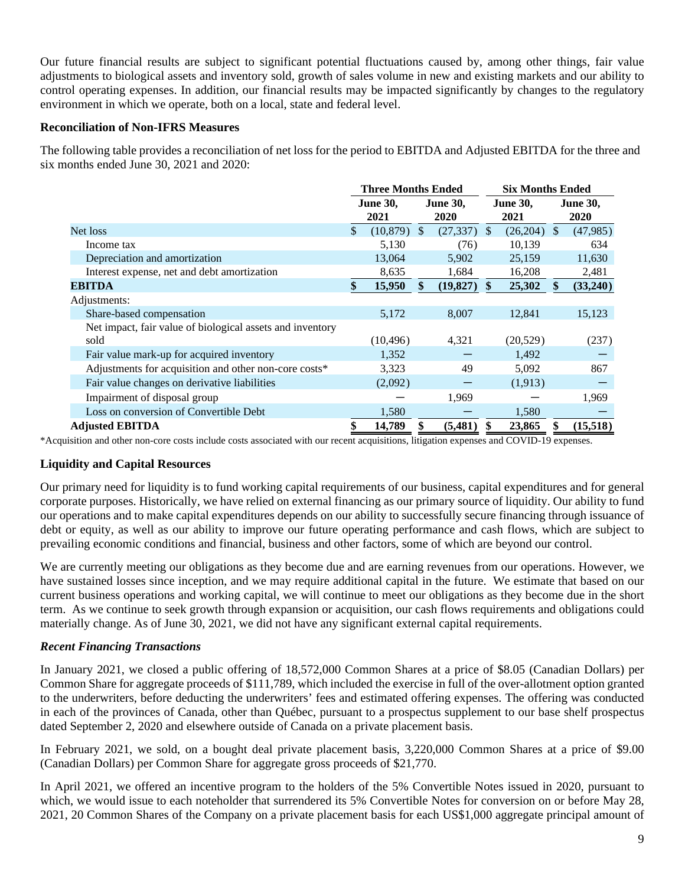Our future financial results are subject to significant potential fluctuations caused by, among other things, fair value adjustments to biological assets and inventory sold, growth of sales volume in new and existing markets and our ability to control operating expenses. In addition, our financial results may be impacted significantly by changes to the regulatory environment in which we operate, both on a local, state and federal level.

## **Reconciliation of Non-IFRS Measures**

The following table provides a reconciliation of net loss for the period to EBITDA and Adjusted EBITDA for the three and six months ended June 30, 2021 and 2020:

|                                                           | <b>Three Months Ended</b> |               |               |                 | <b>Six Months Ended</b> |               |               |                 |  |
|-----------------------------------------------------------|---------------------------|---------------|---------------|-----------------|-------------------------|---------------|---------------|-----------------|--|
|                                                           | <b>June 30,</b>           |               |               | <b>June 30,</b> | <b>June 30,</b>         |               |               | <b>June 30,</b> |  |
|                                                           |                           | 2021          |               | 2020            |                         | 2021          |               | 2020            |  |
| Net loss                                                  | \$                        | $(10,879)$ \$ |               | $(27,337)$ \$   |                         | $(26,204)$ \$ |               | (47,985)        |  |
| Income tax                                                |                           | 5,130         |               | (76)            |                         | 10,139        |               | 634             |  |
| Depreciation and amortization                             |                           | 13,064        |               | 5,902           |                         | 25,159        |               | 11,630          |  |
| Interest expense, net and debt amortization               |                           | 8,635         |               | 1,684           |                         | 16,208        |               | 2,481           |  |
| <b>EBITDA</b>                                             | \$                        | 15,950        | $\mathbf{\$}$ | (19,827)        | <sup>\$</sup>           | 25,302        | <sup>\$</sup> | (33,240)        |  |
| Adjustments:                                              |                           |               |               |                 |                         |               |               |                 |  |
| Share-based compensation                                  |                           | 5,172         |               | 8,007           |                         | 12,841        |               | 15,123          |  |
| Net impact, fair value of biological assets and inventory |                           |               |               |                 |                         |               |               |                 |  |
| sold                                                      |                           | (10, 496)     |               | 4,321           |                         | (20, 529)     |               | (237)           |  |
| Fair value mark-up for acquired inventory                 |                           | 1,352         |               |                 |                         | 1,492         |               |                 |  |
| Adjustments for acquisition and other non-core costs*     |                           | 3,323         |               | 49              |                         | 5,092         |               | 867             |  |
| Fair value changes on derivative liabilities              |                           | (2,092)       |               |                 |                         | (1,913)       |               |                 |  |
| Impairment of disposal group                              |                           |               |               | 1,969           |                         |               |               | 1,969           |  |
| Loss on conversion of Convertible Debt                    |                           | 1,580         |               |                 |                         | 1,580         |               |                 |  |
| <b>Adjusted EBITDA</b>                                    |                           | 14,789        |               | (5,481)         |                         | 23,865        |               | (15,518)        |  |

\*Acquisition and other non-core costs include costs associated with our recent acquisitions, litigation expenses and COVID-19 expenses.

# **Liquidity and Capital Resources**

Our primary need for liquidity is to fund working capital requirements of our business, capital expenditures and for general corporate purposes. Historically, we have relied on external financing as our primary source of liquidity. Our ability to fund our operations and to make capital expenditures depends on our ability to successfully secure financing through issuance of debt or equity, as well as our ability to improve our future operating performance and cash flows, which are subject to prevailing economic conditions and financial, business and other factors, some of which are beyond our control.

We are currently meeting our obligations as they become due and are earning revenues from our operations. However, we have sustained losses since inception, and we may require additional capital in the future. We estimate that based on our current business operations and working capital, we will continue to meet our obligations as they become due in the short term. As we continue to seek growth through expansion or acquisition, our cash flows requirements and obligations could materially change. As of June 30, 2021, we did not have any significant external capital requirements.

# *Recent Financing Transactions*

In January 2021, we closed a public offering of 18,572,000 Common Shares at a price of \$8.05 (Canadian Dollars) per Common Share for aggregate proceeds of \$111,789, which included the exercise in full of the over-allotment option granted to the underwriters, before deducting the underwriters' fees and estimated offering expenses. The offering was conducted in each of the provinces of Canada, other than Québec, pursuant to a prospectus supplement to our base shelf prospectus dated September 2, 2020 and elsewhere outside of Canada on a private placement basis.

In February 2021, we sold, on a bought deal private placement basis, 3,220,000 Common Shares at a price of \$9.00 (Canadian Dollars) per Common Share for aggregate gross proceeds of \$21,770.

In April 2021, we offered an incentive program to the holders of the 5% Convertible Notes issued in 2020, pursuant to which, we would issue to each noteholder that surrendered its 5% Convertible Notes for conversion on or before May 28, 2021, 20 Common Shares of the Company on a private placement basis for each US\$1,000 aggregate principal amount of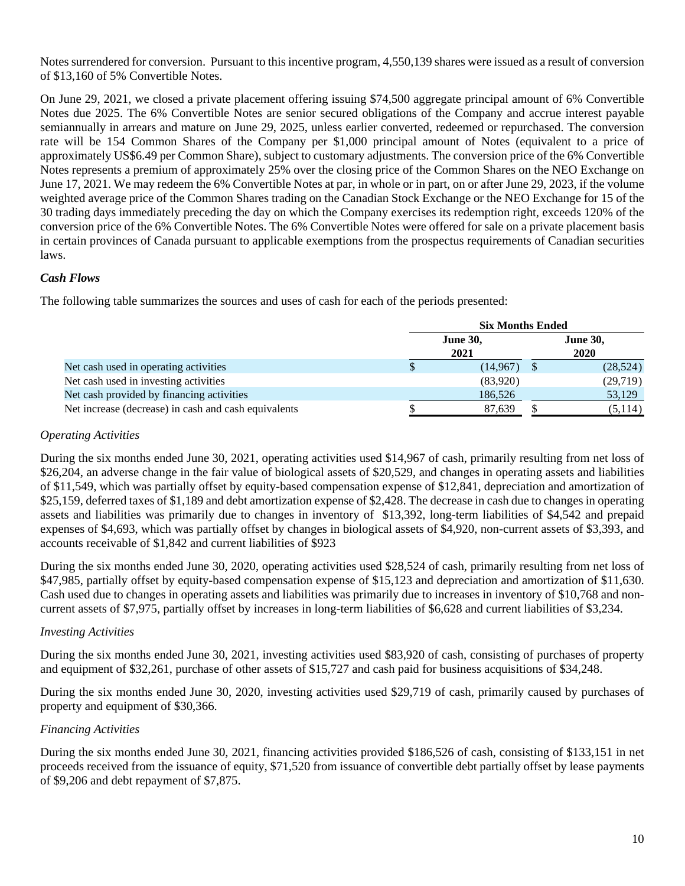Notes surrendered for conversion. Pursuant to this incentive program, 4,550,139 shares were issued as a result of conversion of \$13,160 of 5% Convertible Notes.

On June 29, 2021, we closed a private placement offering issuing \$74,500 aggregate principal amount of 6% Convertible Notes due 2025. The 6% Convertible Notes are senior secured obligations of the Company and accrue interest payable semiannually in arrears and mature on June 29, 2025, unless earlier converted, redeemed or repurchased. The conversion rate will be 154 Common Shares of the Company per \$1,000 principal amount of Notes (equivalent to a price of approximately US\$6.49 per Common Share), subject to customary adjustments. The conversion price of the 6% Convertible Notes represents a premium of approximately 25% over the closing price of the Common Shares on the NEO Exchange on June 17, 2021. We may redeem the 6% Convertible Notes at par, in whole or in part, on or after June 29, 2023, if the volume weighted average price of the Common Shares trading on the Canadian Stock Exchange or the NEO Exchange for 15 of the 30 trading days immediately preceding the day on which the Company exercises its redemption right, exceeds 120% of the conversion price of the 6% Convertible Notes. The 6% Convertible Notes were offered for sale on a private placement basis in certain provinces of Canada pursuant to applicable exemptions from the prospectus requirements of Canadian securities laws.

## *Cash Flows*

The following table summarizes the sources and uses of cash for each of the periods presented:

|                                                      | <b>Six Months Ended</b> |                         |  |           |  |  |  |  |  |
|------------------------------------------------------|-------------------------|-------------------------|--|-----------|--|--|--|--|--|
|                                                      | <b>June 30,</b><br>2021 | <b>June 30,</b><br>2020 |  |           |  |  |  |  |  |
| Net cash used in operating activities                | ۰D                      | (14, 967)               |  | (28, 524) |  |  |  |  |  |
| Net cash used in investing activities                |                         | (83,920)                |  | (29,719)  |  |  |  |  |  |
| Net cash provided by financing activities            |                         | 186,526                 |  | 53,129    |  |  |  |  |  |
| Net increase (decrease) in cash and cash equivalents |                         | 87,639                  |  | (5, 114)  |  |  |  |  |  |

## *Operating Activities*

During the six months ended June 30, 2021, operating activities used \$14,967 of cash, primarily resulting from net loss of \$26,204, an adverse change in the fair value of biological assets of \$20,529, and changes in operating assets and liabilities of \$11,549, which was partially offset by equity-based compensation expense of \$12,841, depreciation and amortization of \$25,159, deferred taxes of \$1,189 and debt amortization expense of \$2,428. The decrease in cash due to changes in operating assets and liabilities was primarily due to changes in inventory of \$13,392, long-term liabilities of \$4,542 and prepaid expenses of \$4,693, which was partially offset by changes in biological assets of \$4,920, non-current assets of \$3,393, and accounts receivable of \$1,842 and current liabilities of \$923

During the six months ended June 30, 2020, operating activities used \$28,524 of cash, primarily resulting from net loss of \$47,985, partially offset by equity-based compensation expense of \$15,123 and depreciation and amortization of \$11,630. Cash used due to changes in operating assets and liabilities was primarily due to increases in inventory of \$10,768 and noncurrent assets of \$7,975, partially offset by increases in long-term liabilities of \$6,628 and current liabilities of \$3,234.

## *Investing Activities*

During the six months ended June 30, 2021, investing activities used \$83,920 of cash, consisting of purchases of property and equipment of \$32,261, purchase of other assets of \$15,727 and cash paid for business acquisitions of \$34,248.

During the six months ended June 30, 2020, investing activities used \$29,719 of cash, primarily caused by purchases of property and equipment of \$30,366.

## *Financing Activities*

During the six months ended June 30, 2021, financing activities provided \$186,526 of cash, consisting of \$133,151 in net proceeds received from the issuance of equity, \$71,520 from issuance of convertible debt partially offset by lease payments of \$9,206 and debt repayment of \$7,875.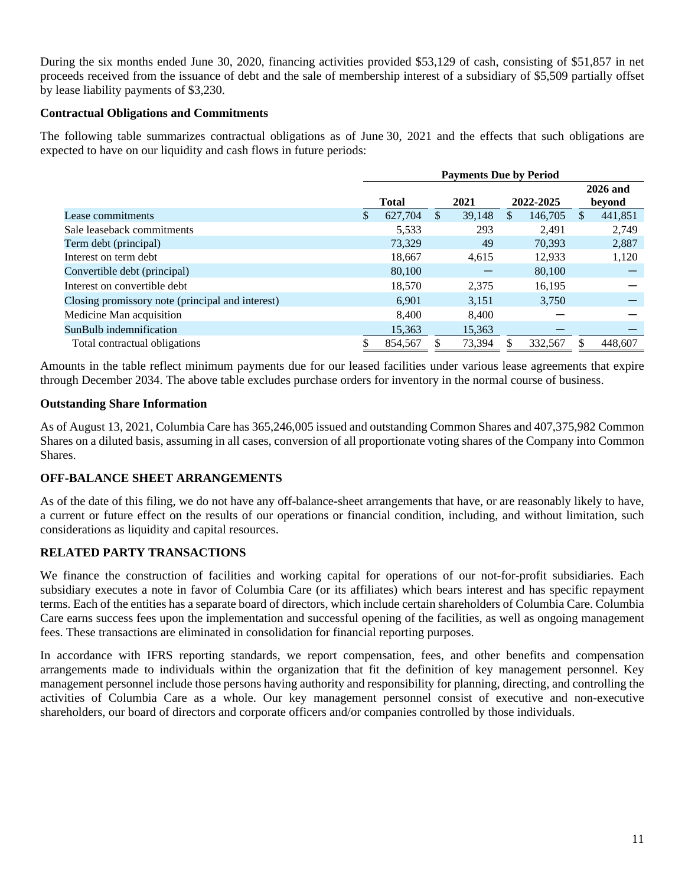During the six months ended June 30, 2020, financing activities provided \$53,129 of cash, consisting of \$51,857 in net proceeds received from the issuance of debt and the sale of membership interest of a subsidiary of \$5,509 partially offset by lease liability payments of \$3,230.

## **Contractual Obligations and Commitments**

The following table summarizes contractual obligations as of June 30, 2021 and the effects that such obligations are expected to have on our liquidity and cash flows in future periods:

|                                                  | <b>Payments Due by Period</b> |              |               |        |          |           |     |                    |
|--------------------------------------------------|-------------------------------|--------------|---------------|--------|----------|-----------|-----|--------------------|
|                                                  |                               | <b>Total</b> |               | 2021   |          | 2022-2025 |     | 2026 and<br>beyond |
| Lease commitments                                | \$.                           | 627,704      | <sup>\$</sup> | 39.148 | <b>S</b> | 146,705   | \$. | 441,851            |
| Sale leaseback commitments                       |                               | 5.533        |               | 293    |          | 2.491     |     | 2,749              |
| Term debt (principal)                            |                               | 73.329       |               | 49     |          | 70,393    |     | 2,887              |
| Interest on term debt                            |                               | 18,667       |               | 4,615  |          | 12,933    |     | 1,120              |
| Convertible debt (principal)                     |                               | 80,100       |               |        |          | 80,100    |     |                    |
| Interest on convertible debt                     |                               | 18.570       |               | 2.375  |          | 16,195    |     |                    |
| Closing promissory note (principal and interest) |                               | 6.901        |               | 3,151  |          | 3,750     |     |                    |
| Medicine Man acquisition                         |                               | 8.400        |               | 8.400  |          |           |     |                    |
| SunBulb indemnification                          |                               | 15,363       |               | 15,363 |          |           |     |                    |
| Total contractual obligations                    |                               | 854,567      |               | 73,394 |          | 332,567   |     | 448,607            |

Amounts in the table reflect minimum payments due for our leased facilities under various lease agreements that expire through December 2034. The above table excludes purchase orders for inventory in the normal course of business.

## **Outstanding Share Information**

As of August 13, 2021, Columbia Care has 365,246,005 issued and outstanding Common Shares and 407,375,982 Common Shares on a diluted basis, assuming in all cases, conversion of all proportionate voting shares of the Company into Common Shares.

## **OFF-BALANCE SHEET ARRANGEMENTS**

As of the date of this filing, we do not have any off-balance-sheet arrangements that have, or are reasonably likely to have, a current or future effect on the results of our operations or financial condition, including, and without limitation, such considerations as liquidity and capital resources.

# **RELATED PARTY TRANSACTIONS**

We finance the construction of facilities and working capital for operations of our not-for-profit subsidiaries. Each subsidiary executes a note in favor of Columbia Care (or its affiliates) which bears interest and has specific repayment terms. Each of the entities has a separate board of directors, which include certain shareholders of Columbia Care. Columbia Care earns success fees upon the implementation and successful opening of the facilities, as well as ongoing management fees. These transactions are eliminated in consolidation for financial reporting purposes.

In accordance with IFRS reporting standards, we report compensation, fees, and other benefits and compensation arrangements made to individuals within the organization that fit the definition of key management personnel. Key management personnel include those persons having authority and responsibility for planning, directing, and controlling the activities of Columbia Care as a whole. Our key management personnel consist of executive and non-executive shareholders, our board of directors and corporate officers and/or companies controlled by those individuals.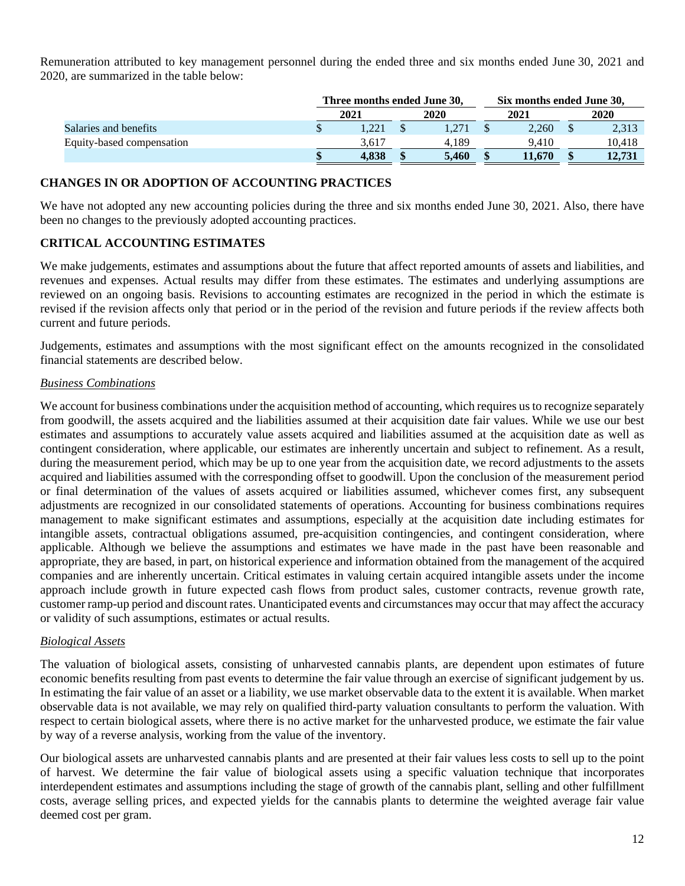Remuneration attributed to key management personnel during the ended three and six months ended June 30, 2021 and 2020, are summarized in the table below:

|                           | Three months ended June 30, |  | Six months ended June 30, |  |        |  |        |  |
|---------------------------|-----------------------------|--|---------------------------|--|--------|--|--------|--|
|                           | 2021                        |  | 2020                      |  | 2021   |  | 2020   |  |
| Salaries and benefits     | 1.221                       |  | 1.271                     |  | 2.260  |  | 2,313  |  |
| Equity-based compensation | 3.617                       |  | 4.189                     |  | 9.410  |  | 10.418 |  |
|                           | 4.838                       |  | 5.460                     |  | 11.670 |  | 12.731 |  |

# **CHANGES IN OR ADOPTION OF ACCOUNTING PRACTICES**

We have not adopted any new accounting policies during the three and six months ended June 30, 2021. Also, there have been no changes to the previously adopted accounting practices.

## **CRITICAL ACCOUNTING ESTIMATES**

We make judgements, estimates and assumptions about the future that affect reported amounts of assets and liabilities, and revenues and expenses. Actual results may differ from these estimates. The estimates and underlying assumptions are reviewed on an ongoing basis. Revisions to accounting estimates are recognized in the period in which the estimate is revised if the revision affects only that period or in the period of the revision and future periods if the review affects both current and future periods.

Judgements, estimates and assumptions with the most significant effect on the amounts recognized in the consolidated financial statements are described below.

## *Business Combinations*

We account for business combinations under the acquisition method of accounting, which requires us to recognize separately from goodwill, the assets acquired and the liabilities assumed at their acquisition date fair values. While we use our best estimates and assumptions to accurately value assets acquired and liabilities assumed at the acquisition date as well as contingent consideration, where applicable, our estimates are inherently uncertain and subject to refinement. As a result, during the measurement period, which may be up to one year from the acquisition date, we record adjustments to the assets acquired and liabilities assumed with the corresponding offset to goodwill. Upon the conclusion of the measurement period or final determination of the values of assets acquired or liabilities assumed, whichever comes first, any subsequent adjustments are recognized in our consolidated statements of operations. Accounting for business combinations requires management to make significant estimates and assumptions, especially at the acquisition date including estimates for intangible assets, contractual obligations assumed, pre-acquisition contingencies, and contingent consideration, where applicable. Although we believe the assumptions and estimates we have made in the past have been reasonable and appropriate, they are based, in part, on historical experience and information obtained from the management of the acquired companies and are inherently uncertain. Critical estimates in valuing certain acquired intangible assets under the income approach include growth in future expected cash flows from product sales, customer contracts, revenue growth rate, customer ramp-up period and discount rates. Unanticipated events and circumstances may occur that may affect the accuracy or validity of such assumptions, estimates or actual results.

## *Biological Assets*

The valuation of biological assets, consisting of unharvested cannabis plants, are dependent upon estimates of future economic benefits resulting from past events to determine the fair value through an exercise of significant judgement by us. In estimating the fair value of an asset or a liability, we use market observable data to the extent it is available. When market observable data is not available, we may rely on qualified third-party valuation consultants to perform the valuation. With respect to certain biological assets, where there is no active market for the unharvested produce, we estimate the fair value by way of a reverse analysis, working from the value of the inventory.

Our biological assets are unharvested cannabis plants and are presented at their fair values less costs to sell up to the point of harvest. We determine the fair value of biological assets using a specific valuation technique that incorporates interdependent estimates and assumptions including the stage of growth of the cannabis plant, selling and other fulfillment costs, average selling prices, and expected yields for the cannabis plants to determine the weighted average fair value deemed cost per gram.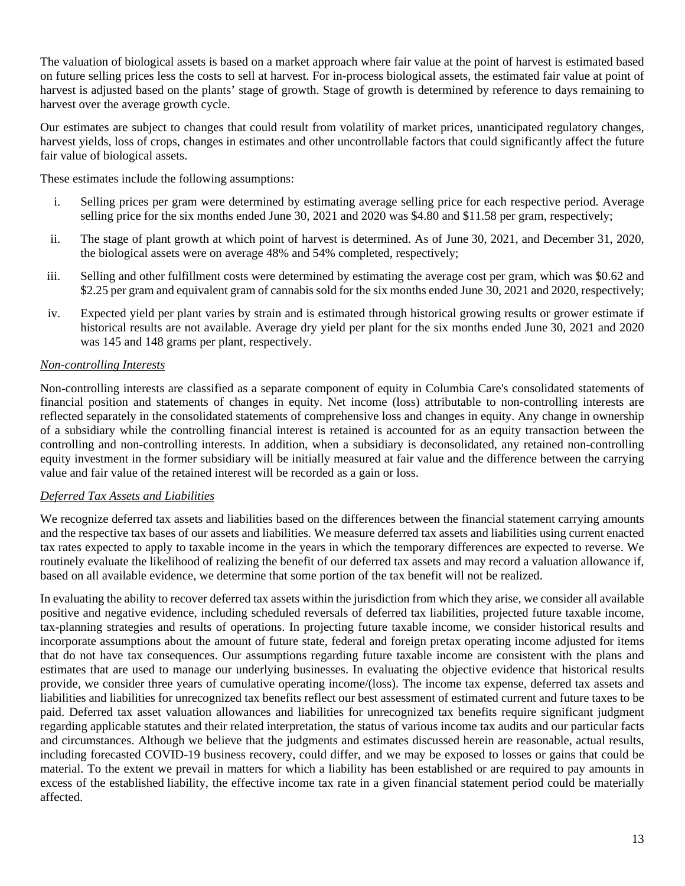The valuation of biological assets is based on a market approach where fair value at the point of harvest is estimated based on future selling prices less the costs to sell at harvest. For in-process biological assets, the estimated fair value at point of harvest is adjusted based on the plants' stage of growth. Stage of growth is determined by reference to days remaining to harvest over the average growth cycle.

Our estimates are subject to changes that could result from volatility of market prices, unanticipated regulatory changes, harvest yields, loss of crops, changes in estimates and other uncontrollable factors that could significantly affect the future fair value of biological assets.

These estimates include the following assumptions:

- i. Selling prices per gram were determined by estimating average selling price for each respective period. Average selling price for the six months ended June 30, 2021 and 2020 was \$4.80 and \$11.58 per gram, respectively;
- ii. The stage of plant growth at which point of harvest is determined. As of June 30, 2021, and December 31, 2020, the biological assets were on average 48% and 54% completed, respectively;
- iii. Selling and other fulfillment costs were determined by estimating the average cost per gram, which was \$0.62 and \$2.25 per gram and equivalent gram of cannabis sold for the six months ended June 30, 2021 and 2020, respectively;
- iv. Expected yield per plant varies by strain and is estimated through historical growing results or grower estimate if historical results are not available. Average dry yield per plant for the six months ended June 30, 2021 and 2020 was 145 and 148 grams per plant, respectively.

# *Non-controlling Interests*

Non-controlling interests are classified as a separate component of equity in Columbia Care's consolidated statements of financial position and statements of changes in equity. Net income (loss) attributable to non-controlling interests are reflected separately in the consolidated statements of comprehensive loss and changes in equity. Any change in ownership of a subsidiary while the controlling financial interest is retained is accounted for as an equity transaction between the controlling and non-controlling interests. In addition, when a subsidiary is deconsolidated, any retained non-controlling equity investment in the former subsidiary will be initially measured at fair value and the difference between the carrying value and fair value of the retained interest will be recorded as a gain or loss.

# *Deferred Tax Assets and Liabilities*

We recognize deferred tax assets and liabilities based on the differences between the financial statement carrying amounts and the respective tax bases of our assets and liabilities. We measure deferred tax assets and liabilities using current enacted tax rates expected to apply to taxable income in the years in which the temporary differences are expected to reverse. We routinely evaluate the likelihood of realizing the benefit of our deferred tax assets and may record a valuation allowance if, based on all available evidence, we determine that some portion of the tax benefit will not be realized.

In evaluating the ability to recover deferred tax assets within the jurisdiction from which they arise, we consider all available positive and negative evidence, including scheduled reversals of deferred tax liabilities, projected future taxable income, tax-planning strategies and results of operations. In projecting future taxable income, we consider historical results and incorporate assumptions about the amount of future state, federal and foreign pretax operating income adjusted for items that do not have tax consequences. Our assumptions regarding future taxable income are consistent with the plans and estimates that are used to manage our underlying businesses. In evaluating the objective evidence that historical results provide, we consider three years of cumulative operating income/(loss). The income tax expense, deferred tax assets and liabilities and liabilities for unrecognized tax benefits reflect our best assessment of estimated current and future taxes to be paid. Deferred tax asset valuation allowances and liabilities for unrecognized tax benefits require significant judgment regarding applicable statutes and their related interpretation, the status of various income tax audits and our particular facts and circumstances. Although we believe that the judgments and estimates discussed herein are reasonable, actual results, including forecasted COVID-19 business recovery, could differ, and we may be exposed to losses or gains that could be material. To the extent we prevail in matters for which a liability has been established or are required to pay amounts in excess of the established liability, the effective income tax rate in a given financial statement period could be materially affected.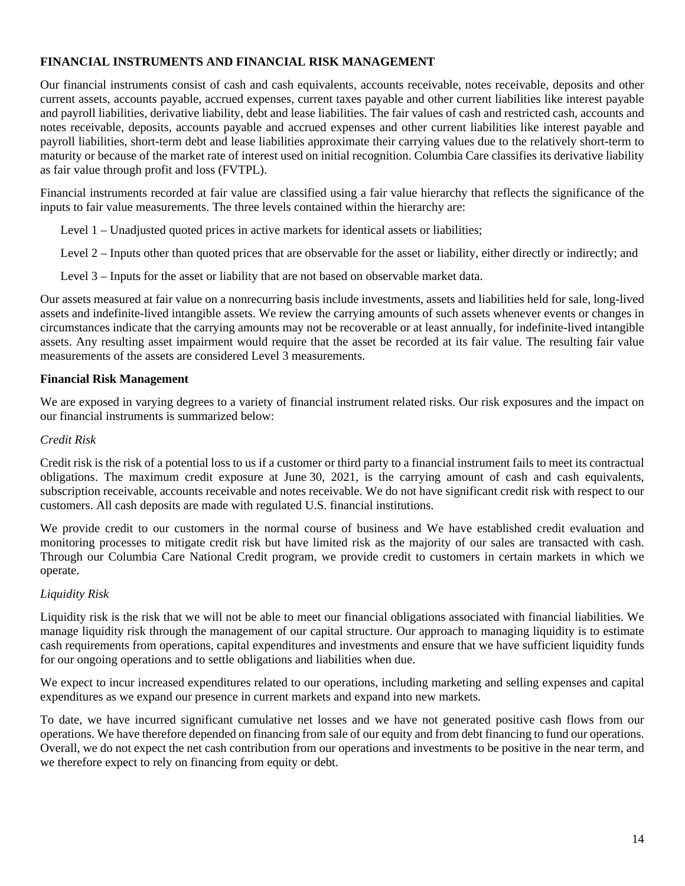# **FINANCIAL INSTRUMENTS AND FINANCIAL RISK MANAGEMENT**

Our financial instruments consist of cash and cash equivalents, accounts receivable, notes receivable, deposits and other current assets, accounts payable, accrued expenses, current taxes payable and other current liabilities like interest payable and payroll liabilities, derivative liability, debt and lease liabilities. The fair values of cash and restricted cash, accounts and notes receivable, deposits, accounts payable and accrued expenses and other current liabilities like interest payable and payroll liabilities, short-term debt and lease liabilities approximate their carrying values due to the relatively short-term to maturity or because of the market rate of interest used on initial recognition. Columbia Care classifies its derivative liability as fair value through profit and loss (FVTPL).

Financial instruments recorded at fair value are classified using a fair value hierarchy that reflects the significance of the inputs to fair value measurements. The three levels contained within the hierarchy are:

- Level 1 Unadjusted quoted prices in active markets for identical assets or liabilities;
- Level 2 Inputs other than quoted prices that are observable for the asset or liability, either directly or indirectly; and
- Level 3 Inputs for the asset or liability that are not based on observable market data.

Our assets measured at fair value on a nonrecurring basis include investments, assets and liabilities held for sale, long-lived assets and indefinite-lived intangible assets. We review the carrying amounts of such assets whenever events or changes in circumstances indicate that the carrying amounts may not be recoverable or at least annually, for indefinite-lived intangible assets. Any resulting asset impairment would require that the asset be recorded at its fair value. The resulting fair value measurements of the assets are considered Level 3 measurements.

## **Financial Risk Management**

We are exposed in varying degrees to a variety of financial instrument related risks. Our risk exposures and the impact on our financial instruments is summarized below:

## *Credit Risk*

Credit risk is the risk of a potential loss to us if a customer or third party to a financial instrument fails to meet its contractual obligations. The maximum credit exposure at June 30, 2021, is the carrying amount of cash and cash equivalents, subscription receivable, accounts receivable and notes receivable. We do not have significant credit risk with respect to our customers. All cash deposits are made with regulated U.S. financial institutions.

We provide credit to our customers in the normal course of business and We have established credit evaluation and monitoring processes to mitigate credit risk but have limited risk as the majority of our sales are transacted with cash. Through our Columbia Care National Credit program, we provide credit to customers in certain markets in which we operate.

## *Liquidity Risk*

Liquidity risk is the risk that we will not be able to meet our financial obligations associated with financial liabilities. We manage liquidity risk through the management of our capital structure. Our approach to managing liquidity is to estimate cash requirements from operations, capital expenditures and investments and ensure that we have sufficient liquidity funds for our ongoing operations and to settle obligations and liabilities when due.

We expect to incur increased expenditures related to our operations, including marketing and selling expenses and capital expenditures as we expand our presence in current markets and expand into new markets.

To date, we have incurred significant cumulative net losses and we have not generated positive cash flows from our operations. We have therefore depended on financing from sale of our equity and from debt financing to fund our operations. Overall, we do not expect the net cash contribution from our operations and investments to be positive in the near term, and we therefore expect to rely on financing from equity or debt.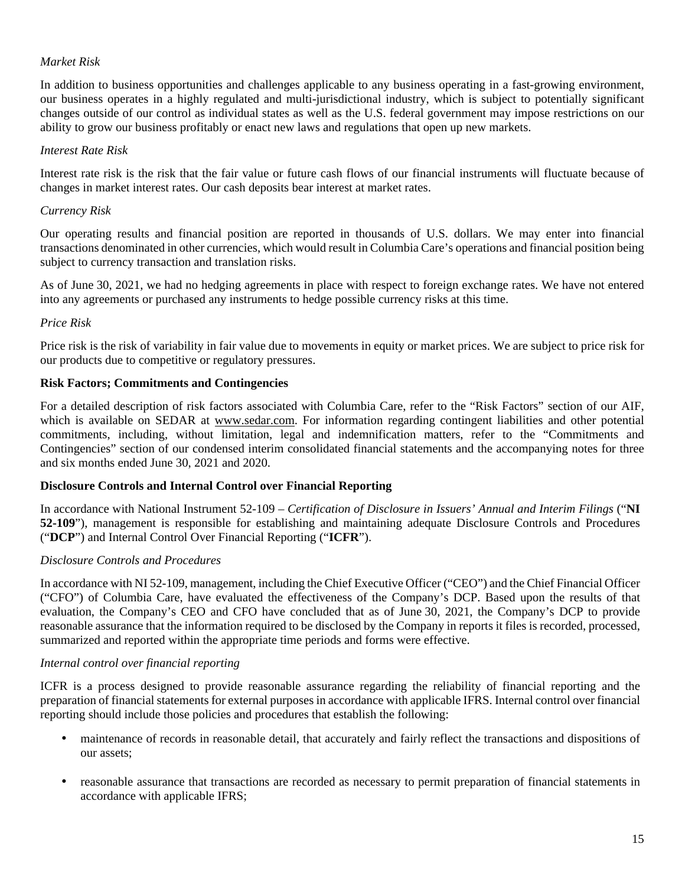# *Market Risk*

In addition to business opportunities and challenges applicable to any business operating in a fast-growing environment, our business operates in a highly regulated and multi-jurisdictional industry, which is subject to potentially significant changes outside of our control as individual states as well as the U.S. federal government may impose restrictions on our ability to grow our business profitably or enact new laws and regulations that open up new markets.

## *Interest Rate Risk*

Interest rate risk is the risk that the fair value or future cash flows of our financial instruments will fluctuate because of changes in market interest rates. Our cash deposits bear interest at market rates.

## *Currency Risk*

Our operating results and financial position are reported in thousands of U.S. dollars. We may enter into financial transactions denominated in other currencies, which would result in Columbia Care's operations and financial position being subject to currency transaction and translation risks.

As of June 30, 2021, we had no hedging agreements in place with respect to foreign exchange rates. We have not entered into any agreements or purchased any instruments to hedge possible currency risks at this time.

## *Price Risk*

Price risk is the risk of variability in fair value due to movements in equity or market prices. We are subject to price risk for our products due to competitive or regulatory pressures.

## **Risk Factors; Commitments and Contingencies**

For a detailed description of risk factors associated with Columbia Care, refer to the "Risk Factors" section of our AIF, which is available on SEDAR at www.sedar.com. For information regarding contingent liabilities and other potential commitments, including, without limitation, legal and indemnification matters, refer to the "Commitments and Contingencies" section of our condensed interim consolidated financial statements and the accompanying notes for three and six months ended June 30, 2021 and 2020.

# **Disclosure Controls and Internal Control over Financial Reporting**

In accordance with National Instrument 52-109 – *Certification of Disclosure in Issuers' Annual and Interim Filings* ("**NI 52-109**"), management is responsible for establishing and maintaining adequate Disclosure Controls and Procedures ("**DCP**") and Internal Control Over Financial Reporting ("**ICFR**").

# *Disclosure Controls and Procedures*

In accordance with NI 52-109, management, including the Chief Executive Officer ("CEO") and the Chief Financial Officer ("CFO") of Columbia Care, have evaluated the effectiveness of the Company's DCP. Based upon the results of that evaluation, the Company's CEO and CFO have concluded that as of June 30, 2021, the Company's DCP to provide reasonable assurance that the information required to be disclosed by the Company in reports it files is recorded, processed, summarized and reported within the appropriate time periods and forms were effective.

## *Internal control over financial reporting*

ICFR is a process designed to provide reasonable assurance regarding the reliability of financial reporting and the preparation of financial statements for external purposes in accordance with applicable IFRS. Internal control over financial reporting should include those policies and procedures that establish the following:

- maintenance of records in reasonable detail, that accurately and fairly reflect the transactions and dispositions of our assets;
- reasonable assurance that transactions are recorded as necessary to permit preparation of financial statements in accordance with applicable IFRS;